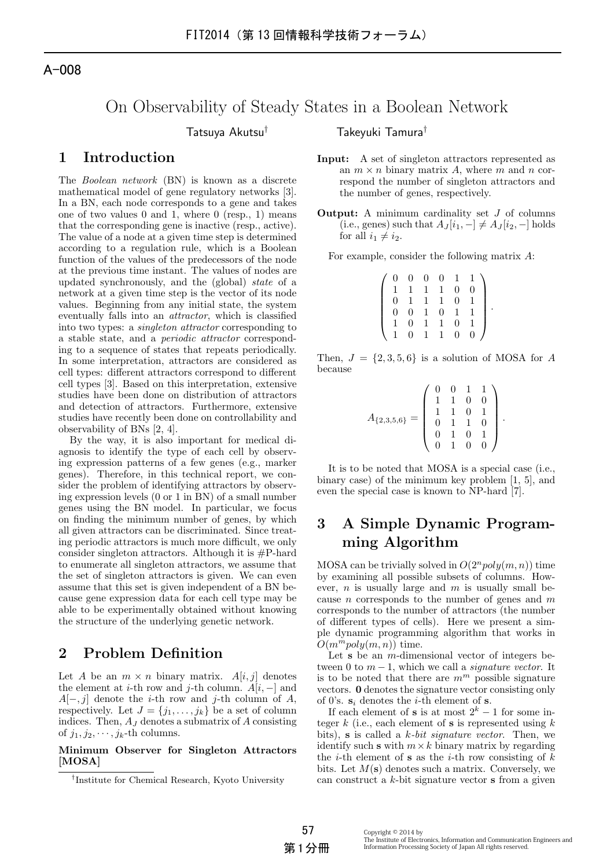# On Observability of Steady States in a Boolean Network

## **1 Introduction**

The *Boolean network* (BN) is known as a discrete mathematical model of gene regulatory networks [3]. In a BN, each node corresponds to a gene and takes one of two values 0 and 1, where 0 (resp., 1) means that the corresponding gene is inactive (resp., active). The value of a node at a given time step is determined according to a regulation rule, which is a Boolean function of the values of the predecessors of the node at the previous time instant. The values of nodes are updated synchronously, and the (global) *state* of a network at a given time step is the vector of its node values. Beginning from any initial state, the system eventually falls into an *attractor*, which is classified into two types: a *singleton attractor* corresponding to a stable state, and a *periodic attractor* corresponding to a sequence of states that repeats periodically. In some interpretation, attractors are considered as cell types: different attractors correspond to different cell types [3]. Based on this interpretation, extensive studies have been done on distribution of attractors and detection of attractors. Furthermore, extensive studies have recently been done on controllability and observability of BNs [2, 4].

By the way, it is also important for medical diagnosis to identify the type of each cell by observing expression patterns of a few genes (e.g., marker genes). Therefore, in this technical report, we consider the problem of identifying attractors by observing expression levels (0 or 1 in BN) of a small number genes using the BN model. In particular, we focus on finding the minimum number of genes, by which all given attractors can be discriminated. Since treating periodic attractors is much more difficult, we only consider singleton attractors. Although it is #P-hard to enumerate all singleton attractors, we assume that the set of singleton attractors is given. We can even assume that this set is given independent of a BN because gene expression data for each cell type may be able to be experimentally obtained without knowing the structure of the underlying genetic network.

### **2 Problem Definition**

Let *A* be an  $m \times n$  binary matrix. *A*[*i, j*] denotes the element at *i*-th row and *j*-th column.  $A[i, -]$  and *A*[*−, j*] denote the *i*-th row and *j*-th column of *A*, respectively. Let  $J = \{j_1, \ldots, j_k\}$  be a set of column indices. Then, *A<sup>J</sup>* denotes a submatrix of *A* consisting of  $j_1, j_2, \dots, j_k$ -th columns.

#### **Minimum Observer for Singleton Attractors [MOSA]**

Tatsuya Akutsu*†* Takeyuki Tamura*†*

- **Input:** A set of singleton attractors represented as an  $m \times n$  binary matrix A, where m and n correspond the number of singleton attractors and the number of genes, respectively.
- **Output:** A minimum cardinality set *J* of columns  $(i.e., genes) such that A<sub>J</sub>[*i*<sub>1</sub>, -] \neq A<sub>J</sub>[*i*<sub>2</sub>, -] holds$ for all  $i_1 \neq i_2$ .

For example, consider the following matrix *A*:

| $\overline{0}$ | $\overline{0}$ | $\overline{0}$ | $\overline{0}$ | 1.       |  |
|----------------|----------------|----------------|----------------|----------|--|
|                | $\mathbf{L}$   | $\mathbf{1}$   | $\mathbf{1}$   | 0        |  |
| 0              |                | $\mathbf{1}$   | $\mathbf{1}$   | $\Omega$ |  |
| 0              | $\Omega$       | $\mathbf{1}$   | $\overline{0}$ |          |  |
|                | $\Omega$       | L              | 1.             | $\Omega$ |  |
|                | $^{\circ}$     |                |                | 0        |  |

Then,  $J = \{2, 3, 5, 6\}$  is a solution of MOSA for *A* because

$$
A_{\{2,3,5,6\}} = \left(\begin{array}{rrrr} 0 & 0 & 1 & 1 \\ 1 & 1 & 0 & 0 \\ 1 & 1 & 0 & 1 \\ 0 & 1 & 1 & 0 \\ 0 & 1 & 0 & 1 \\ 0 & 1 & 0 & 0 \end{array}\right).
$$

It is to be noted that MOSA is a special case (i.e., binary case) of the minimum key problem [1, 5], and even the special case is known to NP-hard [7].

## **3 A Simple Dynamic Programming Algorithm**

MOSA can be trivially solved in  $O(2^n poly(m, n))$  time by examining all possible subsets of columns. However, *n* is usually large and *m* is usually small because *n* corresponds to the number of genes and *m* corresponds to the number of attractors (the number of different types of cells). Here we present a simple dynamic programming algorithm that works in  $O(m^m \text{poly}(m, n))$  time.

Let **s** be an *m*-dimensional vector of integers between 0 to  $m-1$ , which we call a *signature vector*. It is to be noted that there are  $m^m$  possible signature vectors. **0** denotes the signature vector consisting only of 0's.  $s_i$  denotes the *i*-th element of **s**.

If each element of **s** is at most  $2^k - 1$  for some integer *k* (i.e., each element of **s** is represented using *k* bits), **s** is called a *k-bit signature vector*. Then, we identify such **s** with  $m \times k$  binary matrix by regarding the *i*-th element of **s** as the *i*-th row consisting of *k* bits. Let *M*(**s**) denotes such a matrix. Conversely, we can construct a *k*-bit signature vector **s** from a given

*<sup>†</sup>* Institute for Chemical Research, Kyoto University